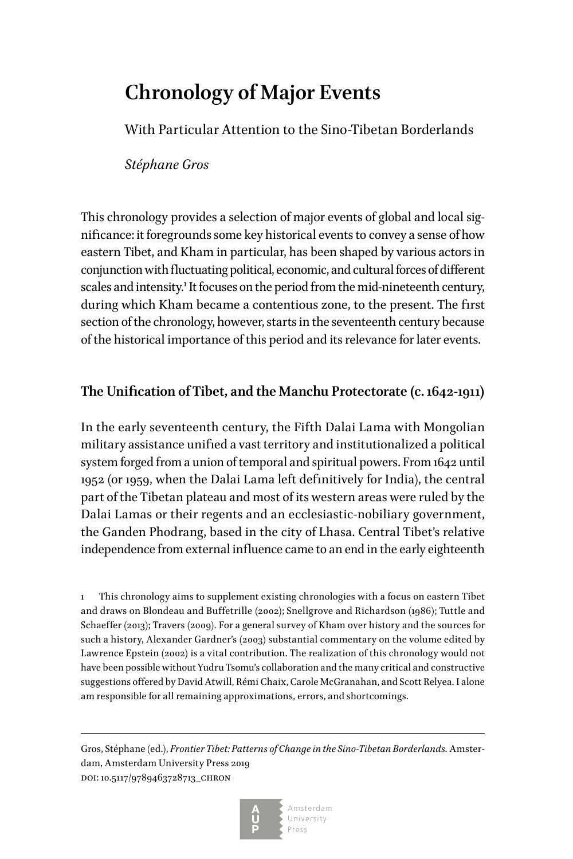# **Chronology of Major Events**

With Particular Attention to the Sino-Tibetan Borderlands

*Stéphane Gros*

This chronology provides a selection of major events of global and local significance: it foregrounds some key historical events to convey a sense of how eastern Tibet, and Kham in particular, has been shaped by various actors in conjunction with fluctuating political, economic, and cultural forces of different scales and intensity.<sup>1</sup> It focuses on the period from the mid-nineteenth century, during which Kham became a contentious zone, to the present. The first section of the chronology, however, starts in the seventeenth century because of the historical importance of this period and its relevance for later events.

## **The Unification of Tibet, and the Manchu Protectorate (c. 1642-1911)**

In the early seventeenth century, the Fifth Dalai Lama with Mongolian military assistance unified a vast territory and institutionalized a political system forged from a union of temporal and spiritual powers. From 1642 until 1952 (or 1959, when the Dalai Lama left definitively for India), the central part of the Tibetan plateau and most of its western areas were ruled by the Dalai Lamas or their regents and an ecclesiastic-nobiliary government, the Ganden Phodrang, based in the city of Lhasa. Central Tibet's relative independence from external influence came to an end in the early eighteenth

1 This chronology aims to supplement existing chronologies with a focus on eastern Tibet and draws on Blondeau and Buffetrille (2002); Snellgrove and Richardson (1986); Tuttle and Schaeffer (2013); Travers (2009). For a general survey of Kham over history and the sources for such a history, Alexander Gardner's (2003) substantial commentary on the volume edited by Lawrence Epstein (2002) is a vital contribution. The realization of this chronology would not have been possible without Yudru Tsomu's collaboration and the many critical and constructive suggestions offered by David Atwill, Rémi Chaix, Carole McGranahan, and Scott Relyea. I alone am responsible for all remaining approximations, errors, and shortcomings.

Gros, Stéphane (ed.), *Frontier Tibet: Patterns of Change in the Sino-Tibetan Borderlands.* Amsterdam, Amsterdam University Press 2019 doi: 10.5117/9789463728713\_chron



Amsterdam University Press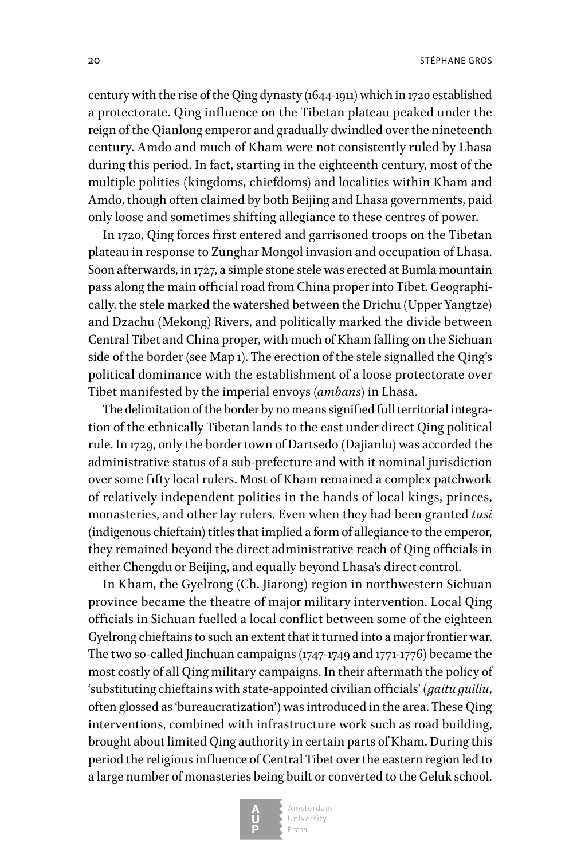century with the rise of the Qing dynasty (1644-1911) which in 1720 established a protectorate. Qing influence on the Tibetan plateau peaked under the reign of the Qianlong emperor and gradually dwindled over the nineteenth century. Amdo and much of Kham were not consistently ruled by Lhasa during this period. In fact, starting in the eighteenth century, most of the multiple polities (kingdoms, chiefdoms) and localities within Kham and Amdo, though often claimed by both Beijing and Lhasa governments, paid only loose and sometimes shifting allegiance to these centres of power.

In 1720, Qing forces first entered and garrisoned troops on the Tibetan plateau in response to Zunghar Mongol invasion and occupation of Lhasa. Soon afterwards, in 1727, a simple stone stele was erected at Bumla mountain pass along the main official road from China proper into Tibet. Geographically, the stele marked the watershed between the Drichu (Upper Yangtze) and Dzachu (Mekong) Rivers, and politically marked the divide between Central Tibet and China proper, with much of Kham falling on the Sichuan side of the border (see Map 1). The erection of the stele signalled the Qing's political dominance with the establishment of a loose protectorate over Tibet manifested by the imperial envoys (*ambans*) in Lhasa.

The delimitation of the border by no means signified full territorial integration of the ethnically Tibetan lands to the east under direct Qing political rule. In 1729, only the border town of Dartsedo (Dajianlu) was accorded the administrative status of a sub-prefecture and with it nominal jurisdiction over some fifty local rulers. Most of Kham remained a complex patchwork of relatively independent polities in the hands of local kings, princes, monasteries, and other lay rulers. Even when they had been granted *tusi* (indigenous chieftain) titles that implied a form of allegiance to the emperor, they remained beyond the direct administrative reach of Qing officials in either Chengdu or Beijing, and equally beyond Lhasa's direct control.

In Kham, the Gyelrong (Ch. Jiarong) region in northwestern Sichuan province became the theatre of major military intervention. Local Qing officials in Sichuan fuelled a local conflict between some of the eighteen Gyelrong chieftains to such an extent that it turned into a major frontier war. The two so-called Jinchuan campaigns (1747-1749 and 1771-1776) became the most costly of all Qing military campaigns. In their aftermath the policy of 'substituting chieftains with state-appointed civilian officials' (*gaitu guiliu*, often glossed as 'bureaucratization') was introduced in the area. These Qing interventions, combined with infrastructure work such as road building, brought about limited Qing authority in certain parts of Kham. During this period the religious influence of Central Tibet over the eastern region led to a large number of monasteries being built or converted to the Geluk school.



Amsterdam University Press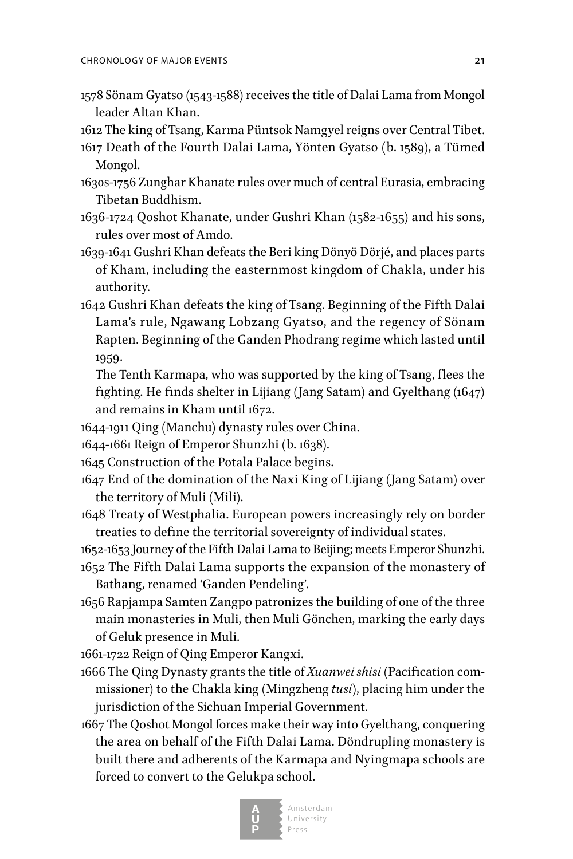- 1578 Sönam Gyatso (1543-1588) receives the title of Dalai Lama from Mongol leader Altan Khan.
- 1612 The king of Tsang, Karma Püntsok Namgyel reigns over Central Tibet.
- 1617 Death of the Fourth Dalai Lama, Yönten Gyatso (b. 1589), a Tümed Mongol.
- 1630s-1756 Zunghar Khanate rules over much of central Eurasia, embracing Tibetan Buddhism.
- 1636-1724 Qoshot Khanate, under Gushri Khan (1582-1655) and his sons, rules over most of Amdo.
- 1639-1641 Gushri Khan defeats the Beri king Dönyö Dörjé, and places parts of Kham, including the easternmost kingdom of Chakla, under his authority.
- 1642 Gushri Khan defeats the king of Tsang. Beginning of the Fifth Dalai Lama's rule, Ngawang Lobzang Gyatso, and the regency of Sönam Rapten. Beginning of the Ganden Phodrang regime which lasted until 1959.
	- The Tenth Karmapa, who was supported by the king of Tsang, flees the fighting. He finds shelter in Lijiang (Jang Satam) and Gyelthang (1647) and remains in Kham until 1672.
- 1644-1911 Qing (Manchu) dynasty rules over China.
- 1644-1661 Reign of Emperor Shunzhi (b. 1638).
- 1645 Construction of the Potala Palace begins.
- 1647 End of the domination of the Naxi King of Lijiang (Jang Satam) over the territory of Muli (Mili).
- 1648 Treaty of Westphalia. European powers increasingly rely on border treaties to define the territorial sovereignty of individual states.
- 1652-1653 Journey of the Fifth Dalai Lama to Beijing; meets Emperor Shunzhi.
- 1652 The Fifth Dalai Lama supports the expansion of the monastery of Bathang, renamed 'Ganden Pendeling'.
- 1656 Rapjampa Samten Zangpo patronizes the building of one of the three main monasteries in Muli, then Muli Gönchen, marking the early days of Geluk presence in Muli.

1661-1722 Reign of Qing Emperor Kangxi.

- 1666 The Qing Dynasty grants the title of *Xuanwei shisi* (Pacification commissioner) to the Chakla king (Mingzheng *tusi*), placing him under the jurisdiction of the Sichuan Imperial Government.
- 1667 The Qoshot Mongol forces make their way into Gyelthang, conquering the area on behalf of the Fifth Dalai Lama. Döndrupling monastery is built there and adherents of the Karmapa and Nyingmapa schools are forced to convert to the Gelukpa school.

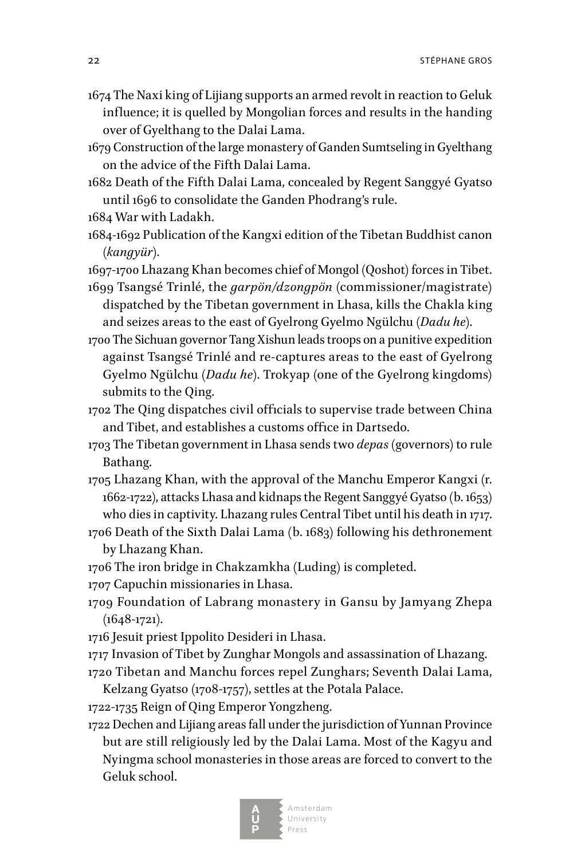- 1674 The Naxi king of Lijiang supports an armed revolt in reaction to Geluk influence; it is quelled by Mongolian forces and results in the handing over of Gyelthang to the Dalai Lama.
- 1679 Construction of the large monastery of Ganden Sumtseling in Gyelthang on the advice of the Fifth Dalai Lama.
- 1682 Death of the Fifth Dalai Lama, concealed by Regent Sanggyé Gyatso until 1696 to consolidate the Ganden Phodrang's rule.
- 1684 War with Ladakh.
- 1684-1692 Publication of the Kangxi edition of the Tibetan Buddhist canon (*kangyür*).

1697-1700 Lhazang Khan becomes chief of Mongol (Qoshot) forces in Tibet.

- 1699 Tsangsé Trinlé, the *garpön/dzongpön* (commissioner/magistrate) dispatched by the Tibetan government in Lhasa, kills the Chakla king and seizes areas to the east of Gyelrong Gyelmo Ngülchu (*Dadu he*).
- 1700 The Sichuan governor Tang Xishun leads troops on a punitive expedition against Tsangsé Trinlé and re-captures areas to the east of Gyelrong Gyelmo Ngülchu (*Dadu he*). Trokyap (one of the Gyelrong kingdoms) submits to the Qing.
- 1702 The Qing dispatches civil officials to supervise trade between China and Tibet, and establishes a customs office in Dartsedo.
- 1703 The Tibetan government in Lhasa sends two *depas* (governors) to rule Bathang.
- 1705 Lhazang Khan, with the approval of the Manchu Emperor Kangxi (r. 1662-1722), attacks Lhasa and kidnaps the Regent Sanggyé Gyatso (b. 1653) who dies in captivity. Lhazang rules Central Tibet until his death in 1717.
- 1706 Death of the Sixth Dalai Lama (b. 1683) following his dethronement by Lhazang Khan.
- 1706 The iron bridge in Chakzamkha (Luding) is completed.

1707 Capuchin missionaries in Lhasa.

- 1709 Foundation of Labrang monastery in Gansu by Jamyang Zhepa  $(1648-1721)$ .
- 1716 Jesuit priest Ippolito Desideri in Lhasa.
- 1717 Invasion of Tibet by Zunghar Mongols and assassination of Lhazang. 1720 Tibetan and Manchu forces repel Zunghars; Seventh Dalai Lama,

Kelzang Gyatso (1708-1757), settles at the Potala Palace.

1722-1735 Reign of Qing Emperor Yongzheng.

1722 Dechen and Lijiang areas fall under the jurisdiction of Yunnan Province but are still religiously led by the Dalai Lama. Most of the Kagyu and Nyingma school monasteries in those areas are forced to convert to the Geluk school.

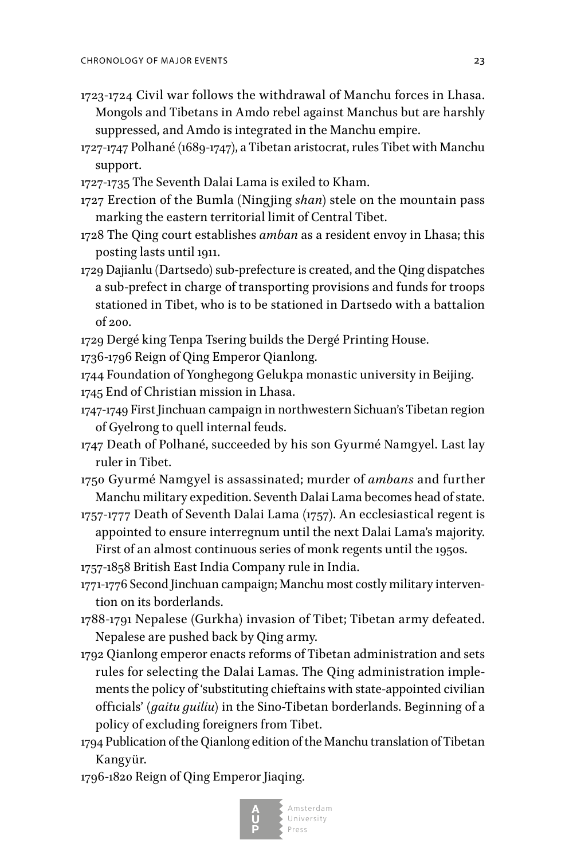- 1723-1724 Civil war follows the withdrawal of Manchu forces in Lhasa. Mongols and Tibetans in Amdo rebel against Manchus but are harshly suppressed, and Amdo is integrated in the Manchu empire.
- 1727-1747 Polhané (1689-1747), a Tibetan aristocrat, rules Tibet with Manchu support.
- 1727-1735 The Seventh Dalai Lama is exiled to Kham.
- 1727 Erection of the Bumla (Ningjing *shan*) stele on the mountain pass marking the eastern territorial limit of Central Tibet.
- 1728 The Qing court establishes *amban* as a resident envoy in Lhasa; this posting lasts until 1911.
- 1729 Dajianlu (Dartsedo) sub-prefecture is created, and the Qing dispatches a sub-prefect in charge of transporting provisions and funds for troops stationed in Tibet, who is to be stationed in Dartsedo with a battalion of 200.
- 1729 Dergé king Tenpa Tsering builds the Dergé Printing House.
- 1736-1796 Reign of Qing Emperor Qianlong.
- 1744 Foundation of Yonghegong Gelukpa monastic university in Beijing.
- 1745 End of Christian mission in Lhasa.
- 1747-1749 First Jinchuan campaign in northwestern Sichuan's Tibetan region of Gyelrong to quell internal feuds.
- 1747 Death of Polhané, succeeded by his son Gyurmé Namgyel. Last lay ruler in Tibet.
- 1750 Gyurmé Namgyel is assassinated; murder of *ambans* and further Manchu military expedition. Seventh Dalai Lama becomes head of state.
- 1757-1777 Death of Seventh Dalai Lama (1757). An ecclesiastical regent is appointed to ensure interregnum until the next Dalai Lama's majority. First of an almost continuous series of monk regents until the 1950s.
- 1757-1858 British East India Company rule in India.
- 1771-1776 Second Jinchuan campaign; Manchu most costly military intervention on its borderlands.
- 1788-1791 Nepalese (Gurkha) invasion of Tibet; Tibetan army defeated. Nepalese are pushed back by Qing army.
- 1792 Qianlong emperor enacts reforms of Tibetan administration and sets rules for selecting the Dalai Lamas. The Qing administration implements the policy of 'substituting chieftains with state-appointed civilian officials' (*gaitu guiliu*) in the Sino-Tibetan borderlands. Beginning of a policy of excluding foreigners from Tibet.
- 1794 Publication of the Qianlong edition of the Manchu translation of Tibetan Kangyür.
- 1796-1820 Reign of Qing Emperor Jiaqing.

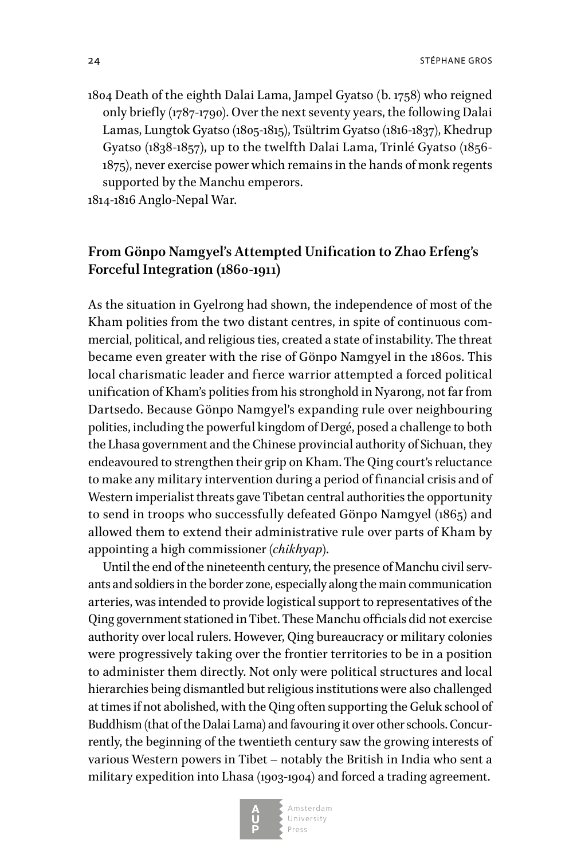24 strange gross and the strange gross of the strange gross strange gross strange gross strange gross strange gross strange gross strange gross strange gross strange gross strange gross strange gross strange gross strange

1804 Death of the eighth Dalai Lama, Jampel Gyatso (b. 1758) who reigned only briefly (1787-1790). Over the next seventy years, the following Dalai Lamas, Lungtok Gyatso (1805-1815), Tsültrim Gyatso (1816-1837), Khedrup Gyatso (1838-1857), up to the twelfth Dalai Lama, Trinlé Gyatso (1856- 1875), never exercise power which remains in the hands of monk regents supported by the Manchu emperors.

1814-1816 Anglo-Nepal War.

## **From Gönpo Namgyel's Attempted Unification to Zhao Erfeng's Forceful Integration (1860-1911)**

As the situation in Gyelrong had shown, the independence of most of the Kham polities from the two distant centres, in spite of continuous commercial, political, and religious ties, created a state of instability. The threat became even greater with the rise of Gönpo Namgyel in the 1860s. This local charismatic leader and fierce warrior attempted a forced political unification of Kham's polities from his stronghold in Nyarong, not far from Dartsedo. Because Gönpo Namgyel's expanding rule over neighbouring polities, including the powerful kingdom of Dergé, posed a challenge to both the Lhasa government and the Chinese provincial authority of Sichuan, they endeavoured to strengthen their grip on Kham. The Qing court's reluctance to make any military intervention during a period of financial crisis and of Western imperialist threats gave Tibetan central authorities the opportunity to send in troops who successfully defeated Gönpo Namgyel (1865) and allowed them to extend their administrative rule over parts of Kham by appointing a high commissioner (*chikhyap*).

Until the end of the nineteenth century, the presence of Manchu civil servants and soldiers in the border zone, especially along the main communication arteries, was intended to provide logistical support to representatives of the Qing government stationed in Tibet. These Manchu officials did not exercise authority over local rulers. However, Qing bureaucracy or military colonies were progressively taking over the frontier territories to be in a position to administer them directly. Not only were political structures and local hierarchies being dismantled but religious institutions were also challenged at times if not abolished, with the Qing often supporting the Geluk school of Buddhism (that of the Dalai Lama) and favouring it over other schools. Concurrently, the beginning of the twentieth century saw the growing interests of various Western powers in Tibet – notably the British in India who sent a military expedition into Lhasa (1903-1904) and forced a trading agreement.



Amsterdam University Press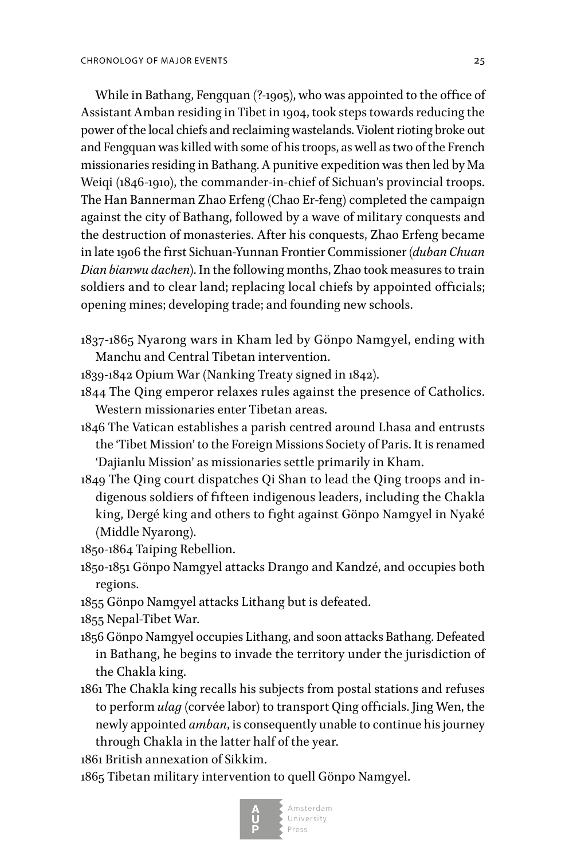While in Bathang, Fengquan (?-1905), who was appointed to the office of Assistant Amban residing in Tibet in 1904, took steps towards reducing the power of the local chiefs and reclaiming wastelands. Violent rioting broke out and Fengquan was killed with some of his troops, as well as two of the French missionaries residing in Bathang. A punitive expedition was then led by Ma Weiqi (1846-1910), the commander-in-chief of Sichuan's provincial troops. The Han Bannerman Zhao Erfeng (Chao Er-feng) completed the campaign against the city of Bathang, followed by a wave of military conquests and the destruction of monasteries. After his conquests, Zhao Erfeng became in late 1906 the first Sichuan-Yunnan Frontier Commissioner (*duban Chuan Dian bianwu dachen*). In the following months, Zhao took measures to train soldiers and to clear land; replacing local chiefs by appointed officials; opening mines; developing trade; and founding new schools.

1837-1865 Nyarong wars in Kham led by Gönpo Namgyel, ending with Manchu and Central Tibetan intervention.

- 1839-1842 Opium War (Nanking Treaty signed in 1842).
- 1844 The Qing emperor relaxes rules against the presence of Catholics. Western missionaries enter Tibetan areas.
- 1846 The Vatican establishes a parish centred around Lhasa and entrusts the 'Tibet Mission' to the Foreign Missions Society of Paris. It is renamed 'Dajianlu Mission' as missionaries settle primarily in Kham.
- 1849 The Qing court dispatches Qi Shan to lead the Qing troops and indigenous soldiers of fifteen indigenous leaders, including the Chakla king, Dergé king and others to fight against Gönpo Namgyel in Nyaké (Middle Nyarong).

1850-1864 Taiping Rebellion.

- 1850-1851 Gönpo Namgyel attacks Drango and Kandzé, and occupies both regions.
- 1855 Gönpo Namgyel attacks Lithang but is defeated.
- 1855 Nepal-Tibet War.
- 1856 Gönpo Namgyel occupies Lithang, and soon attacks Bathang. Defeated in Bathang, he begins to invade the territory under the jurisdiction of the Chakla king.
- 1861 The Chakla king recalls his subjects from postal stations and refuses to perform *ulag* (corvée labor) to transport Qing officials. Jing Wen, the newly appointed *amban*, is consequently unable to continue his journey through Chakla in the latter half of the year.

1861 British annexation of Sikkim.

1865 Tibetan military intervention to quell Gönpo Namgyel.

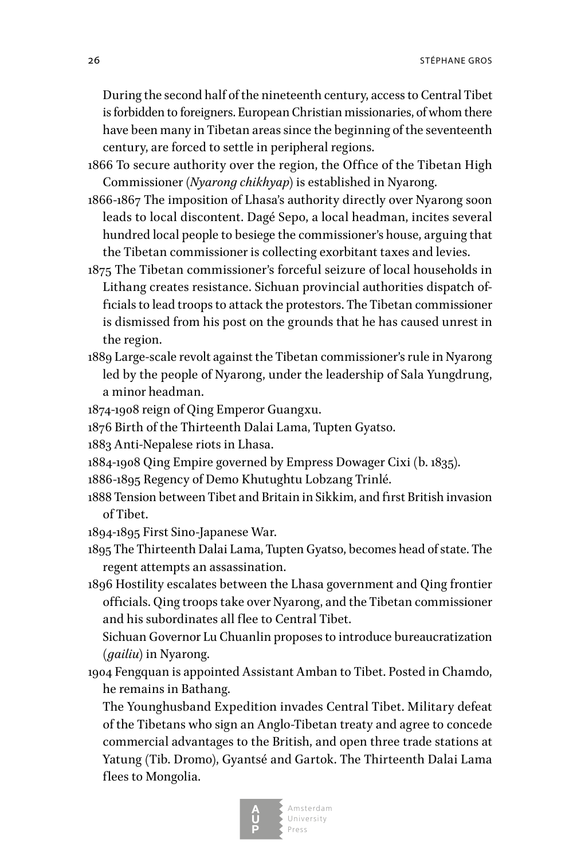During the second half of the nineteenth century, access to Central Tibet is forbidden to foreigners. European Christian missionaries, of whom there have been many in Tibetan areas since the beginning of the seventeenth century, are forced to settle in peripheral regions.

- 1866 To secure authority over the region, the Office of the Tibetan High Commissioner (*Nyarong chikhyap*) is established in Nyarong.
- 1866-1867 The imposition of Lhasa's authority directly over Nyarong soon leads to local discontent. Dagé Sepo, a local headman, incites several hundred local people to besiege the commissioner's house, arguing that the Tibetan commissioner is collecting exorbitant taxes and levies.
- 1875 The Tibetan commissioner's forceful seizure of local households in Lithang creates resistance. Sichuan provincial authorities dispatch officials to lead troops to attack the protestors. The Tibetan commissioner is dismissed from his post on the grounds that he has caused unrest in the region.
- 1889 Large-scale revolt against the Tibetan commissioner's rule in Nyarong led by the people of Nyarong, under the leadership of Sala Yungdrung, a minor headman.
- 1874-1908 reign of Qing Emperor Guangxu.
- 1876 Birth of the Thirteenth Dalai Lama, Tupten Gyatso.
- 1883 Anti-Nepalese riots in Lhasa.
- 1884-1908 Qing Empire governed by Empress Dowager Cixi (b. 1835).
- 1886-1895 Regency of Demo Khutughtu Lobzang Trinlé.
- 1888 Tension between Tibet and Britain in Sikkim, and first British invasion of Tibet.
- 1894-1895 First Sino-Japanese War.
- 1895 The Thirteenth Dalai Lama, Tupten Gyatso, becomes head of state. The regent attempts an assassination.
- 1896 Hostility escalates between the Lhasa government and Qing frontier officials. Qing troops take over Nyarong, and the Tibetan commissioner and his subordinates all flee to Central Tibet.

 Sichuan Governor Lu Chuanlin proposes to introduce bureaucratization (*gailiu*) in Nyarong.

1904 Fengquan is appointed Assistant Amban to Tibet. Posted in Chamdo, he remains in Bathang.

 The Younghusband Expedition invades Central Tibet. Military defeat of the Tibetans who sign an Anglo-Tibetan treaty and agree to concede commercial advantages to the British, and open three trade stations at Yatung (Tib. Dromo), Gyantsé and Gartok. The Thirteenth Dalai Lama flees to Mongolia.

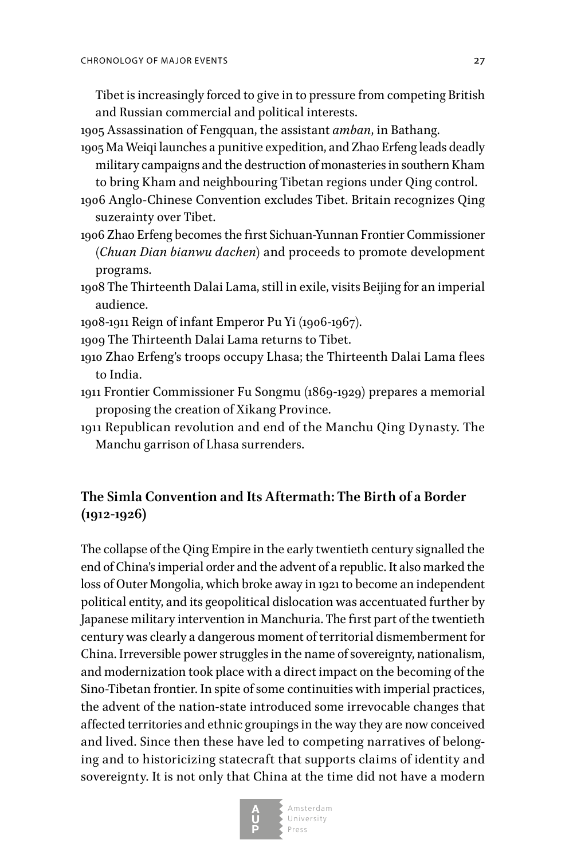Tibet is increasingly forced to give in to pressure from competing British and Russian commercial and political interests.

1905 Assassination of Fengquan, the assistant *amban*, in Bathang.

- 1905 Ma Weiqi launches a punitive expedition, and Zhao Erfeng leads deadly military campaigns and the destruction of monasteries in southern Kham to bring Kham and neighbouring Tibetan regions under Qing control.
- 1906 Anglo-Chinese Convention excludes Tibet. Britain recognizes Qing suzerainty over Tibet.
- 1906 Zhao Erfeng becomes the first Sichuan-Yunnan Frontier Commissioner (*Chuan Dian bianwu dachen*) and proceeds to promote development programs.
- 1908 The Thirteenth Dalai Lama, still in exile, visits Beijing for an imperial audience.
- 1908-1911 Reign of infant Emperor Pu Yi (1906-1967).
- 1909 The Thirteenth Dalai Lama returns to Tibet.
- 1910 Zhao Erfeng's troops occupy Lhasa; the Thirteenth Dalai Lama flees to India.
- 1911 Frontier Commissioner Fu Songmu (1869-1929) prepares a memorial proposing the creation of Xikang Province.
- 1911 Republican revolution and end of the Manchu Qing Dynasty. The Manchu garrison of Lhasa surrenders.

## **The Simla Convention and Its Aftermath: The Birth of a Border (1912-1926)**

The collapse of the Qing Empire in the early twentieth century signalled the end of China's imperial order and the advent of a republic. It also marked the loss of Outer Mongolia, which broke away in 1921 to become an independent political entity, and its geopolitical dislocation was accentuated further by Japanese military intervention in Manchuria. The first part of the twentieth century was clearly a dangerous moment of territorial dismemberment for China. Irreversible power struggles in the name of sovereignty, nationalism, and modernization took place with a direct impact on the becoming of the Sino-Tibetan frontier. In spite of some continuities with imperial practices, the advent of the nation-state introduced some irrevocable changes that affected territories and ethnic groupings in the way they are now conceived and lived. Since then these have led to competing narratives of belonging and to historicizing statecraft that supports claims of identity and sovereignty. It is not only that China at the time did not have a modern

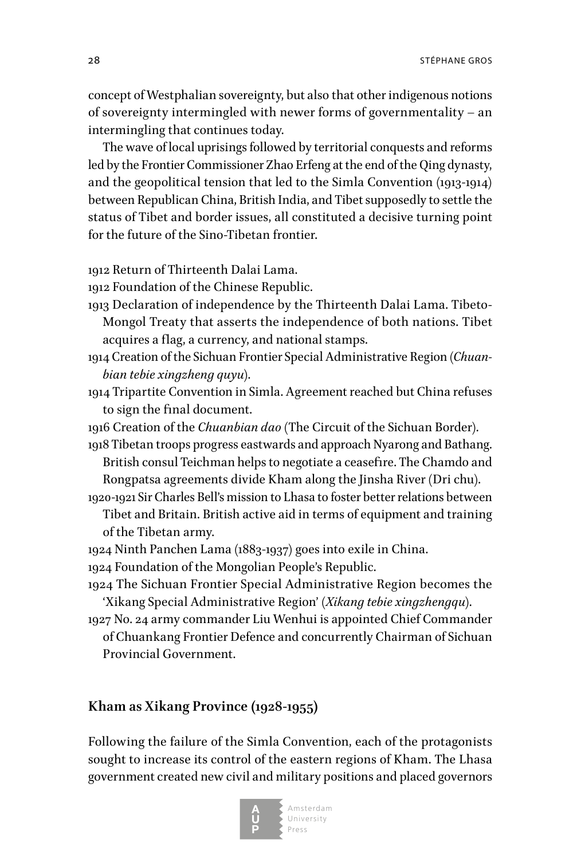28 strange group of the contract of the contract of the contract of the strange group of the strange group of the strange group of the strange group of the strange group of the strange group of the strange group of the str

concept of Westphalian sovereignty, but also that other indigenous notions of sovereignty intermingled with newer forms of governmentality – an intermingling that continues today.

The wave of local uprisings followed by territorial conquests and reforms led by the Frontier Commissioner Zhao Erfeng at the end of the Qing dynasty, and the geopolitical tension that led to the Simla Convention (1913-1914) between Republican China, British India, and Tibet supposedly to settle the status of Tibet and border issues, all constituted a decisive turning point for the future of the Sino-Tibetan frontier.

1912 Return of Thirteenth Dalai Lama.

1912 Foundation of the Chinese Republic.

- 1913 Declaration of independence by the Thirteenth Dalai Lama. Tibeto-Mongol Treaty that asserts the independence of both nations. Tibet acquires a flag, a currency, and national stamps.
- 1914 Creation of the Sichuan Frontier Special Administrative Region (*Chuanbian tebie xingzheng quyu*).
- 1914 Tripartite Convention in Simla. Agreement reached but China refuses to sign the final document.
- 1916 Creation of the *Chuanbian dao* (The Circuit of the Sichuan Border).
- 1918 Tibetan troops progress eastwards and approach Nyarong and Bathang. British consul Teichman helps to negotiate a ceasefire. The Chamdo and Rongpatsa agreements divide Kham along the Jinsha River (Dri chu).
- 1920-1921 Sir Charles Bell's mission to Lhasa to foster better relations between Tibet and Britain. British active aid in terms of equipment and training of the Tibetan army.
- 1924 Ninth Panchen Lama (1883-1937) goes into exile in China.
- 1924 Foundation of the Mongolian People's Republic.
- 1924 The Sichuan Frontier Special Administrative Region becomes the 'Xikang Special Administrative Region' (*Xikang tebie xingzhengqu*).
- 1927 No. 24 army commander Liu Wenhui is appointed Chief Commander of Chuankang Frontier Defence and concurrently Chairman of Sichuan Provincial Government.

### **Kham as Xikang Province (1928-1955)**

Following the failure of the Simla Convention, each of the protagonists sought to increase its control of the eastern regions of Kham. The Lhasa government created new civil and military positions and placed governors

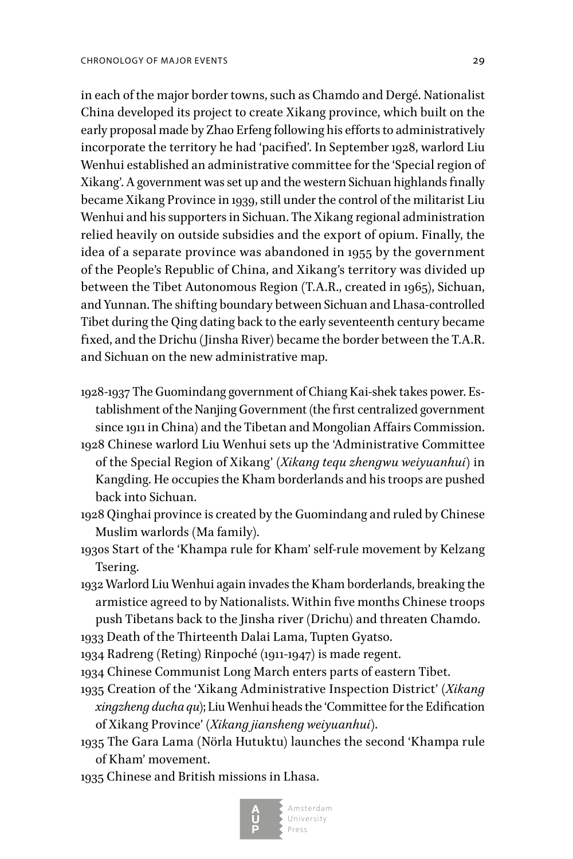in each of the major border towns, such as Chamdo and Dergé. Nationalist China developed its project to create Xikang province, which built on the early proposal made by Zhao Erfeng following his efforts to administratively incorporate the territory he had 'pacified'. In September 1928, warlord Liu Wenhui established an administrative committee for the 'Special region of Xikang'. A government was set up and the western Sichuan highlands finally became Xikang Province in 1939, still under the control of the militarist Liu Wenhui and his supporters in Sichuan. The Xikang regional administration relied heavily on outside subsidies and the export of opium. Finally, the idea of a separate province was abandoned in 1955 by the government of the People's Republic of China, and Xikang's territory was divided up between the Tibet Autonomous Region (T.A.R., created in 1965), Sichuan, and Yunnan. The shifting boundary between Sichuan and Lhasa-controlled Tibet during the Qing dating back to the early seventeenth century became fixed, and the Drichu (Jinsha River) became the border between the T.A.R. and Sichuan on the new administrative map.

- 1928-1937 The Guomindang government of Chiang Kai-shek takes power. Establishment of the Nanjing Government (the first centralized government since 1911 in China) and the Tibetan and Mongolian Affairs Commission.
- 1928 Chinese warlord Liu Wenhui sets up the 'Administrative Committee of the Special Region of Xikang' (*Xikang tequ zhengwu weiyuanhui*) in Kangding. He occupies the Kham borderlands and his troops are pushed back into Sichuan.
- 1928 Qinghai province is created by the Guomindang and ruled by Chinese Muslim warlords (Ma family).
- 1930s Start of the 'Khampa rule for Kham' self-rule movement by Kelzang Tsering.
- 1932 Warlord Liu Wenhui again invades the Kham borderlands, breaking the armistice agreed to by Nationalists. Within five months Chinese troops push Tibetans back to the Jinsha river (Drichu) and threaten Chamdo.

1933 Death of the Thirteenth Dalai Lama, Tupten Gyatso.

1934 Radreng (Reting) Rinpoché (1911-1947) is made regent.

- 1934 Chinese Communist Long March enters parts of eastern Tibet.
- 1935 Creation of the 'Xikang Administrative Inspection District' (*Xikang xingzheng ducha qu*); Liu Wenhui heads the 'Committee for the Edification of Xikang Province' (*Xikang jiansheng weiyuanhui*).
- 1935 The Gara Lama (Nörla Hutuktu) launches the second 'Khampa rule of Kham' movement.
- 1935 Chinese and British missions in Lhasa.

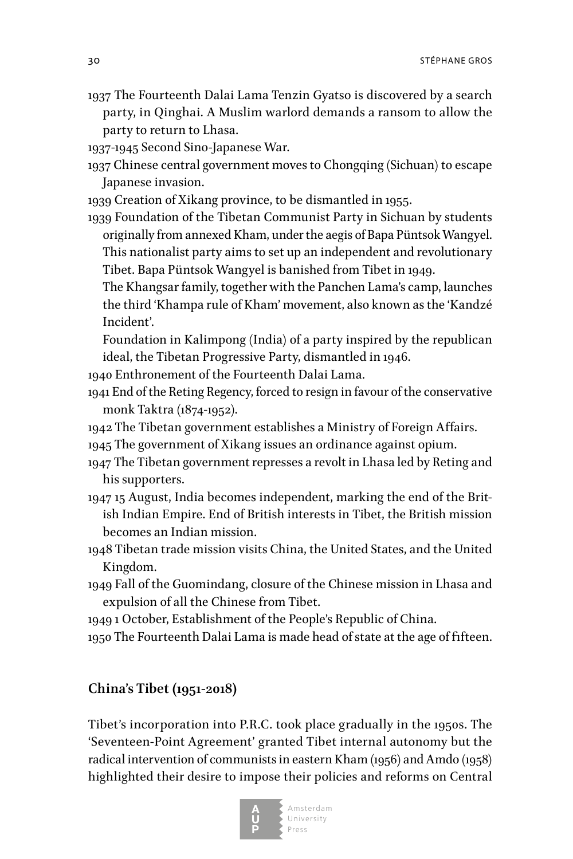- 1937 The Fourteenth Dalai Lama Tenzin Gyatso is discovered by a search party, in Qinghai. A Muslim warlord demands a ransom to allow the party to return to Lhasa.
- 1937-1945 Second Sino-Japanese War.
- 1937 Chinese central government moves to Chongqing (Sichuan) to escape Japanese invasion.
- 1939 Creation of Xikang province, to be dismantled in 1955.
- 1939 Foundation of the Tibetan Communist Party in Sichuan by students originally from annexed Kham, under the aegis of Bapa Püntsok Wangyel. This nationalist party aims to set up an independent and revolutionary Tibet. Bapa Püntsok Wangyel is banished from Tibet in 1949.
	- The Khangsar family, together with the Panchen Lama's camp, launches the third 'Khampa rule of Kham' movement, also known as the 'Kandzé Incident'.
	- Foundation in Kalimpong (India) of a party inspired by the republican ideal, the Tibetan Progressive Party, dismantled in 1946.
- 1940 Enthronement of the Fourteenth Dalai Lama.
- 1941 End of the Reting Regency, forced to resign in favour of the conservative monk Taktra (1874-1952).
- 1942 The Tibetan government establishes a Ministry of Foreign Affairs.
- 1945 The government of Xikang issues an ordinance against opium.
- 1947 The Tibetan government represses a revolt in Lhasa led by Reting and his supporters.
- 1947 15 August, India becomes independent, marking the end of the British Indian Empire. End of British interests in Tibet, the British mission becomes an Indian mission.
- 1948 Tibetan trade mission visits China, the United States, and the United Kingdom.
- 1949 Fall of the Guomindang, closure of the Chinese mission in Lhasa and expulsion of all the Chinese from Tibet.
- 1949 1 October, Establishment of the People's Republic of China.
- 1950 The Fourteenth Dalai Lama is made head of state at the age of fifteen.

### **China's Tibet (1951-2018)**

Tibet's incorporation into P.R.C. took place gradually in the 1950s. The 'Seventeen-Point Agreement' granted Tibet internal autonomy but the radical intervention of communists in eastern Kham (1956) and Amdo (1958) highlighted their desire to impose their policies and reforms on Central

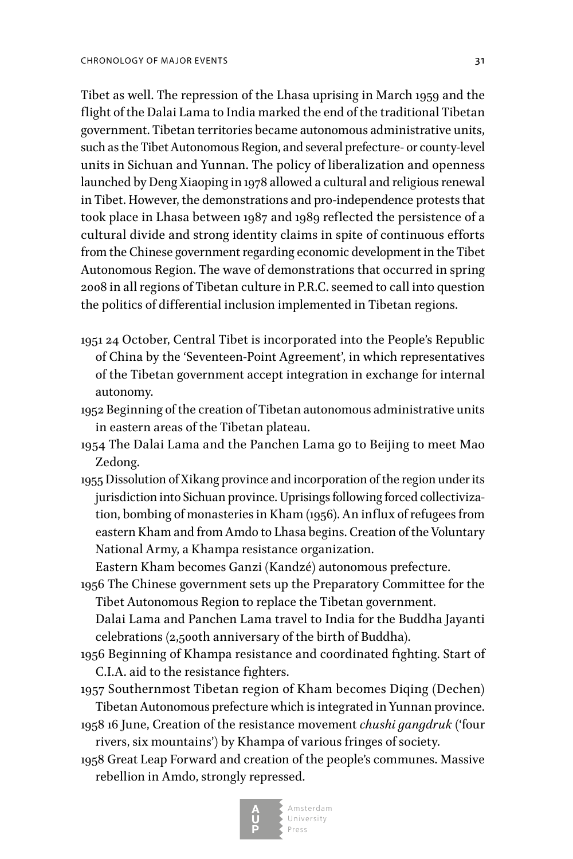Tibet as well. The repression of the Lhasa uprising in March 1959 and the flight of the Dalai Lama to India marked the end of the traditional Tibetan government. Tibetan territories became autonomous administrative units, such as the Tibet Autonomous Region, and several prefecture- or county-level units in Sichuan and Yunnan. The policy of liberalization and openness launched by Deng Xiaoping in 1978 allowed a cultural and religious renewal in Tibet. However, the demonstrations and pro-independence protests that took place in Lhasa between 1987 and 1989 reflected the persistence of a cultural divide and strong identity claims in spite of continuous efforts from the Chinese government regarding economic development in the Tibet Autonomous Region. The wave of demonstrations that occurred in spring 2008 in all regions of Tibetan culture in P.R.C. seemed to call into question the politics of differential inclusion implemented in Tibetan regions.

- 1951 24 October, Central Tibet is incorporated into the People's Republic of China by the 'Seventeen-Point Agreement', in which representatives of the Tibetan government accept integration in exchange for internal autonomy.
- 1952 Beginning of the creation of Tibetan autonomous administrative units in eastern areas of the Tibetan plateau.
- 1954 The Dalai Lama and the Panchen Lama go to Beijing to meet Mao Zedong.
- 1955 Dissolution of Xikang province and incorporation of the region under its jurisdiction into Sichuan province. Uprisings following forced collectivization, bombing of monasteries in Kham (1956). An influx of refugees from eastern Kham and from Amdo to Lhasa begins. Creation of the Voluntary National Army, a Khampa resistance organization.

Eastern Kham becomes Ganzi (Kandzé) autonomous prefecture.

1956 The Chinese government sets up the Preparatory Committee for the Tibet Autonomous Region to replace the Tibetan government.

 Dalai Lama and Panchen Lama travel to India for the Buddha Jayanti celebrations (2,500th anniversary of the birth of Buddha).

- 1956 Beginning of Khampa resistance and coordinated fighting. Start of C.I.A. aid to the resistance fighters.
- 1957 Southernmost Tibetan region of Kham becomes Diqing (Dechen) Tibetan Autonomous prefecture which is integrated in Yunnan province.
- 1958 16 June, Creation of the resistance movement *chushi gangdruk* ('four rivers, six mountains') by Khampa of various fringes of society.
- 1958 Great Leap Forward and creation of the people's communes. Massive rebellion in Amdo, strongly repressed.

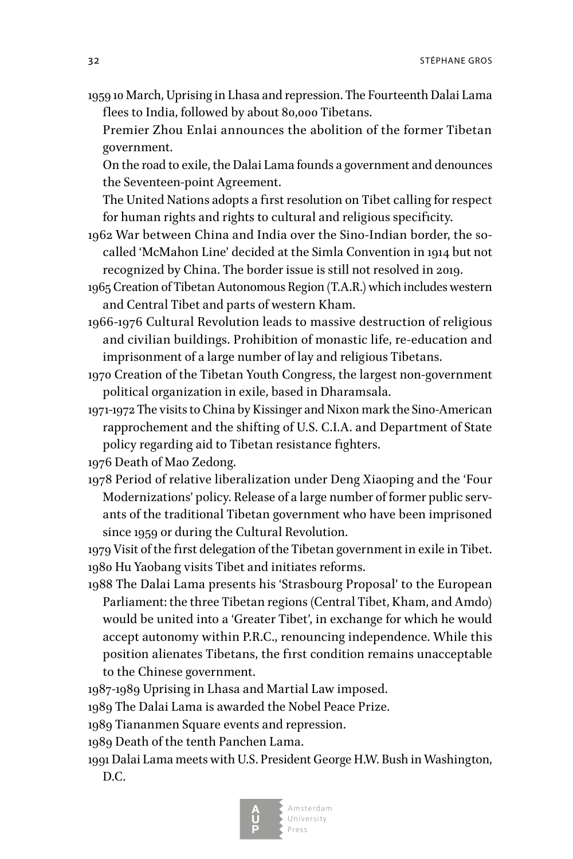32 stéril a statement de la contradiction de la contradiction de la contradiction de la contradiction de la contradiction de la contradiction de la contradiction de la contradiction de la contradiction de la contradiction

- 1959 10 March, Uprising in Lhasa and repression. The Fourteenth Dalai Lama flees to India, followed by about 80,000 Tibetans.
	- Premier Zhou Enlai announces the abolition of the former Tibetan government.

 On the road to exile, the Dalai Lama founds a government and denounces the Seventeen-point Agreement.

 The United Nations adopts a first resolution on Tibet calling for respect for human rights and rights to cultural and religious specificity.

- 1962 War between China and India over the Sino-Indian border, the socalled 'McMahon Line' decided at the Simla Convention in 1914 but not recognized by China. The border issue is still not resolved in 2019.
- 1965 Creation of Tibetan Autonomous Region (T.A.R.) which includes western and Central Tibet and parts of western Kham.
- 1966-1976 Cultural Revolution leads to massive destruction of religious and civilian buildings. Prohibition of monastic life, re-education and imprisonment of a large number of lay and religious Tibetans.
- 1970 Creation of the Tibetan Youth Congress, the largest non-government political organization in exile, based in Dharamsala.
- 1971-1972 The visits to China by Kissinger and Nixon mark the Sino-American rapprochement and the shifting of U.S. C.I.A. and Department of State policy regarding aid to Tibetan resistance fighters.

1976 Death of Mao Zedong.

1978 Period of relative liberalization under Deng Xiaoping and the 'Four Modernizations' policy. Release of a large number of former public servants of the traditional Tibetan government who have been imprisoned since 1959 or during the Cultural Revolution.

1979 Visit of the first delegation of the Tibetan government in exile in Tibet. 1980 Hu Yaobang visits Tibet and initiates reforms.

1988 The Dalai Lama presents his 'Strasbourg Proposal' to the European Parliament: the three Tibetan regions (Central Tibet, Kham, and Amdo) would be united into a 'Greater Tibet', in exchange for which he would accept autonomy within P.R.C., renouncing independence. While this position alienates Tibetans, the first condition remains unacceptable to the Chinese government.

1987-1989 Uprising in Lhasa and Martial Law imposed.

1989 The Dalai Lama is awarded the Nobel Peace Prize.

1989 Tiananmen Square events and repression.

1989 Death of the tenth Panchen Lama.

1991 Dalai Lama meets with U.S. President George H.W. Bush in Washington, D.C.

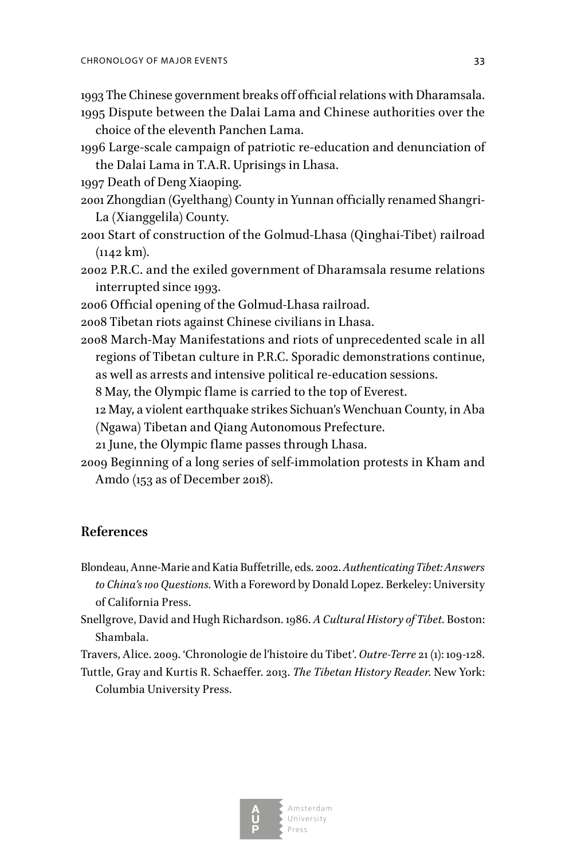1993 The Chinese government breaks off official relations with Dharamsala.

1995 Dispute between the Dalai Lama and Chinese authorities over the choice of the eleventh Panchen Lama.

1996 Large-scale campaign of patriotic re-education and denunciation of the Dalai Lama in T.A.R. Uprisings in Lhasa.

1997 Death of Deng Xiaoping.

- 2001 Zhongdian (Gyelthang) County in Yunnan officially renamed Shangri-La (Xianggelila) County.
- 2001 Start of construction of the Golmud-Lhasa (Qinghai-Tibet) railroad (1142 km).
- 2002 P.R.C. and the exiled government of Dharamsala resume relations interrupted since 1993.
- 2006 Official opening of the Golmud-Lhasa railroad.

2008 Tibetan riots against Chinese civilians in Lhasa.

2008 March-May Manifestations and riots of unprecedented scale in all regions of Tibetan culture in P.R.C. Sporadic demonstrations continue, as well as arrests and intensive political re-education sessions.

8 May, the Olympic flame is carried to the top of Everest.

12 May, a violent earthquake strikes Sichuan's Wenchuan County, in Aba

(Ngawa) Tibetan and Qiang Autonomous Prefecture.

21 June, the Olympic flame passes through Lhasa.

2009 Beginning of a long series of self-immolation protests in Kham and Amdo (153 as of December 2018).

### **References**

- Blondeau, Anne-Marie and Katia Buffetrille, eds. 2002. *Authenticating Tibet: Answers to China's 100 Questions.* With a Foreword by Donald Lopez. Berkeley: University of California Press.
- Snellgrove, David and Hugh Richardson. 1986. *A Cultural History of Tibet*. Boston: Shambala.

Travers, Alice. 2009. 'Chronologie de l'histoire du Tibet'. *Outre-Terre* 21 (1): 109-128.

Tuttle, Gray and Kurtis R. Schaeffer. 2013. *The Tibetan History Reader*. New York: Columbia University Press.